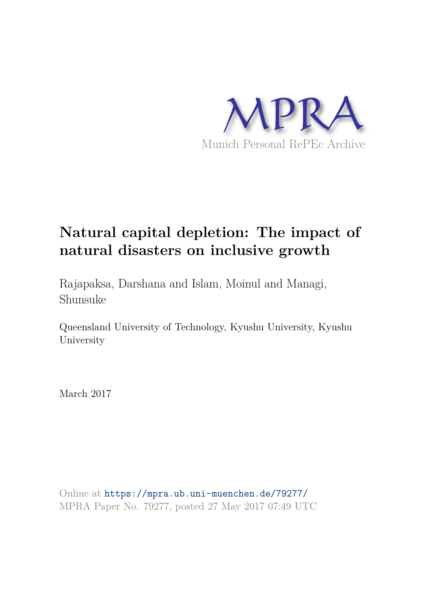

# **Natural capital depletion: The impact of natural disasters on inclusive growth**

Rajapaksa, Darshana and Islam, Moinul and Managi, Shunsuke

Queensland University of Technology, Kyushu University, Kyushu University

March 2017

Online at https://mpra.ub.uni-muenchen.de/79277/ MPRA Paper No. 79277, posted 27 May 2017 07:49 UTC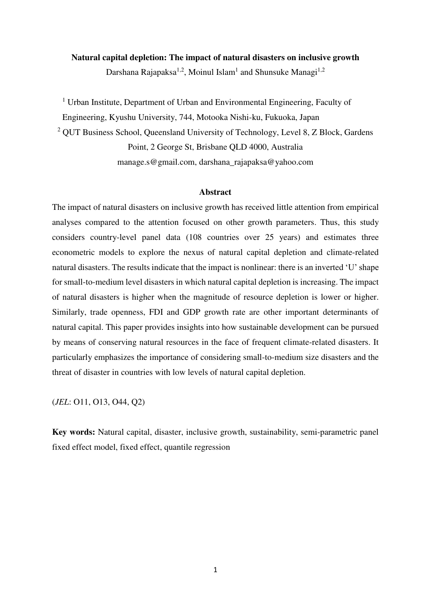#### **Natural capital depletion: The impact of natural disasters on inclusive growth**

Darshana Rajapaksa<sup>1,2</sup>, Moinul Islam<sup>1</sup> and Shunsuke Managi<sup>1,2</sup>

<sup>1</sup> Urban Institute, Department of Urban and Environmental Engineering, Faculty of Engineering, Kyushu University, 744, Motooka Nishi-ku, Fukuoka, Japan

<sup>2</sup> QUT Business School, Queensland University of Technology, Level 8, Z Block, Gardens

Point, 2 George St, Brisbane QLD 4000, Australia

manage.s@gmail.com, darshana\_rajapaksa@yahoo.com

#### **Abstract**

The impact of natural disasters on inclusive growth has received little attention from empirical analyses compared to the attention focused on other growth parameters. Thus, this study considers country-level panel data (108 countries over 25 years) and estimates three econometric models to explore the nexus of natural capital depletion and climate-related natural disasters. The results indicate that the impact is nonlinear: there is an inverted 'U' shape for small-to-medium level disasters in which natural capital depletion is increasing. The impact of natural disasters is higher when the magnitude of resource depletion is lower or higher. Similarly, trade openness, FDI and GDP growth rate are other important determinants of natural capital. This paper provides insights into how sustainable development can be pursued by means of conserving natural resources in the face of frequent climate-related disasters. It particularly emphasizes the importance of considering small-to-medium size disasters and the threat of disaster in countries with low levels of natural capital depletion.

(*JEL*: O11, O13, O44, Q2)

**Key words:** Natural capital, disaster, inclusive growth, sustainability, semi-parametric panel fixed effect model, fixed effect, quantile regression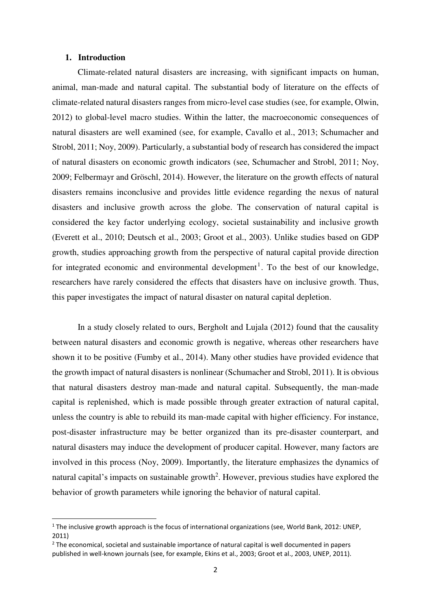#### **1. Introduction**

-

Climate-related natural disasters are increasing, with significant impacts on human, animal, man-made and natural capital. The substantial body of literature on the effects of climate-related natural disasters ranges from micro-level case studies (see, for example, Olwin, 2012) to global-level macro studies. Within the latter, the macroeconomic consequences of natural disasters are well examined (see, for example, Cavallo et al., 2013; Schumacher and Strobl, 2011; Noy, 2009). Particularly, a substantial body of research has considered the impact of natural disasters on economic growth indicators (see, Schumacher and Strobl, 2011; Noy, 2009; Felbermayr and Gröschl, 2014). However, the literature on the growth effects of natural disasters remains inconclusive and provides little evidence regarding the nexus of natural disasters and inclusive growth across the globe. The conservation of natural capital is considered the key factor underlying ecology, societal sustainability and inclusive growth (Everett et al., 2010; Deutsch et al., 2003; Groot et al., 2003). Unlike studies based on GDP growth, studies approaching growth from the perspective of natural capital provide direction for integrated economic and environmental development<sup>1</sup>. To the best of our knowledge, researchers have rarely considered the effects that disasters have on inclusive growth. Thus, this paper investigates the impact of natural disaster on natural capital depletion.

In a study closely related to ours, Bergholt and Lujala (2012) found that the causality between natural disasters and economic growth is negative, whereas other researchers have shown it to be positive (Fumby et al., 2014). Many other studies have provided evidence that the growth impact of natural disasters is nonlinear (Schumacher and Strobl, 2011). It is obvious that natural disasters destroy man-made and natural capital. Subsequently, the man-made capital is replenished, which is made possible through greater extraction of natural capital, unless the country is able to rebuild its man-made capital with higher efficiency. For instance, post-disaster infrastructure may be better organized than its pre-disaster counterpart, and natural disasters may induce the development of producer capital. However, many factors are involved in this process (Noy, 2009). Importantly, the literature emphasizes the dynamics of natural capital's impacts on sustainable growth<sup>2</sup>. However, previous studies have explored the behavior of growth parameters while ignoring the behavior of natural capital.

<sup>&</sup>lt;sup>1</sup> The inclusive growth approach is the focus of international organizations (see, World Bank, 2012: UNEP, 2011)

 $2$  The economical, societal and sustainable importance of natural capital is well documented in papers published in well-known journals (see, for example, Ekins et al., 2003; Groot et al., 2003, UNEP, 2011).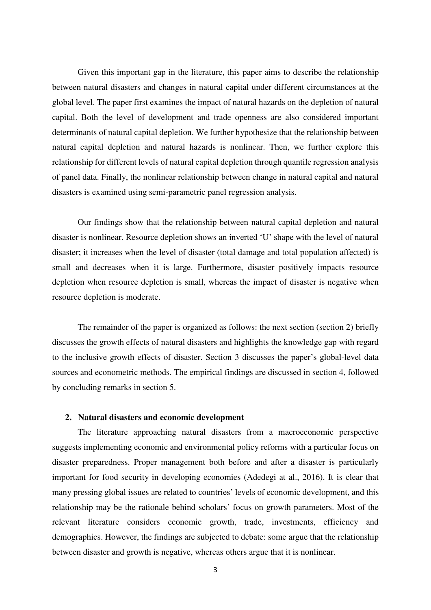Given this important gap in the literature, this paper aims to describe the relationship between natural disasters and changes in natural capital under different circumstances at the global level. The paper first examines the impact of natural hazards on the depletion of natural capital. Both the level of development and trade openness are also considered important determinants of natural capital depletion. We further hypothesize that the relationship between natural capital depletion and natural hazards is nonlinear. Then, we further explore this relationship for different levels of natural capital depletion through quantile regression analysis of panel data. Finally, the nonlinear relationship between change in natural capital and natural disasters is examined using semi-parametric panel regression analysis.

Our findings show that the relationship between natural capital depletion and natural disaster is nonlinear. Resource depletion shows an inverted 'U' shape with the level of natural disaster; it increases when the level of disaster (total damage and total population affected) is small and decreases when it is large. Furthermore, disaster positively impacts resource depletion when resource depletion is small, whereas the impact of disaster is negative when resource depletion is moderate.

The remainder of the paper is organized as follows: the next section (section 2) briefly discusses the growth effects of natural disasters and highlights the knowledge gap with regard to the inclusive growth effects of disaster. Section 3 discusses the paper's global-level data sources and econometric methods. The empirical findings are discussed in section 4, followed by concluding remarks in section 5.

#### **2. Natural disasters and economic development**

The literature approaching natural disasters from a macroeconomic perspective suggests implementing economic and environmental policy reforms with a particular focus on disaster preparedness. Proper management both before and after a disaster is particularly important for food security in developing economies (Adedegi at al., 2016). It is clear that many pressing global issues are related to countries' levels of economic development, and this relationship may be the rationale behind scholars' focus on growth parameters. Most of the relevant literature considers economic growth, trade, investments, efficiency and demographics. However, the findings are subjected to debate: some argue that the relationship between disaster and growth is negative, whereas others argue that it is nonlinear.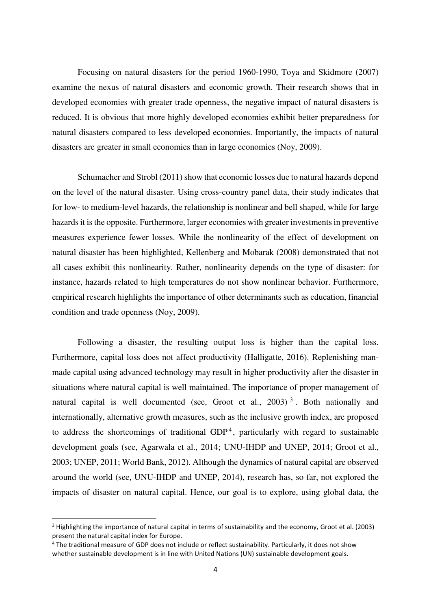Focusing on natural disasters for the period 1960-1990, Toya and Skidmore (2007) examine the nexus of natural disasters and economic growth. Their research shows that in developed economies with greater trade openness, the negative impact of natural disasters is reduced. It is obvious that more highly developed economies exhibit better preparedness for natural disasters compared to less developed economies. Importantly, the impacts of natural disasters are greater in small economies than in large economies (Noy, 2009).

Schumacher and Strobl (2011) show that economic losses due to natural hazards depend on the level of the natural disaster. Using cross-country panel data, their study indicates that for low- to medium-level hazards, the relationship is nonlinear and bell shaped, while for large hazards it is the opposite. Furthermore, larger economies with greater investments in preventive measures experience fewer losses. While the nonlinearity of the effect of development on natural disaster has been highlighted, Kellenberg and Mobarak (2008) demonstrated that not all cases exhibit this nonlinearity. Rather, nonlinearity depends on the type of disaster: for instance, hazards related to high temperatures do not show nonlinear behavior. Furthermore, empirical research highlights the importance of other determinants such as education, financial condition and trade openness (Noy, 2009).

Following a disaster, the resulting output loss is higher than the capital loss. Furthermore, capital loss does not affect productivity (Halligatte, 2016). Replenishing manmade capital using advanced technology may result in higher productivity after the disaster in situations where natural capital is well maintained. The importance of proper management of natural capital is well documented (see, Groot et al.,  $2003$ )<sup>3</sup>. Both nationally and internationally, alternative growth measures, such as the inclusive growth index, are proposed to address the shortcomings of traditional  $GDP<sup>4</sup>$ , particularly with regard to sustainable development goals (see, Agarwala et al., 2014; UNU-IHDP and UNEP, 2014; Groot et al., 2003; UNEP, 2011; World Bank, 2012). Although the dynamics of natural capital are observed around the world (see, UNU-IHDP and UNEP, 2014), research has, so far, not explored the impacts of disaster on natural capital. Hence, our goal is to explore, using global data, the

-

<sup>&</sup>lt;sup>3</sup> Highlighting the importance of natural capital in terms of sustainability and the economy, Groot et al. (2003) present the natural capital index for Europe.

<sup>&</sup>lt;sup>4</sup> The traditional measure of GDP does not include or reflect sustainability. Particularly, it does not show whether sustainable development is in line with United Nations (UN) sustainable development goals.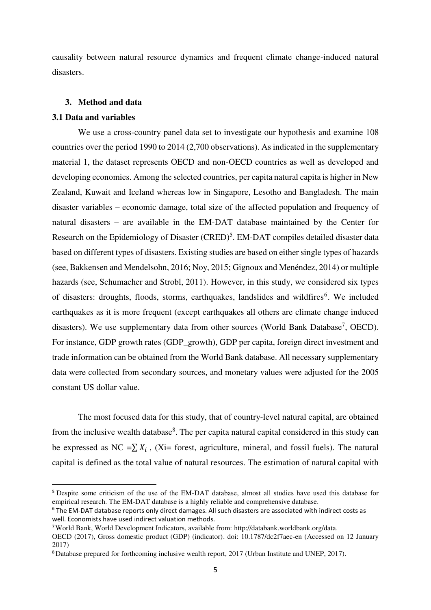causality between natural resource dynamics and frequent climate change-induced natural disasters.

# **3. Method and data**

# **3.1 Data and variables**

<u>.</u>

We use a cross-country panel data set to investigate our hypothesis and examine 108 countries over the period 1990 to 2014 (2,700 observations). As indicated in the supplementary material 1, the dataset represents OECD and non-OECD countries as well as developed and developing economies. Among the selected countries, per capita natural capita is higher in New Zealand, Kuwait and Iceland whereas low in Singapore, Lesotho and Bangladesh. The main disaster variables – economic damage, total size of the affected population and frequency of natural disasters – are available in the EM-DAT database maintained by the Center for Research on the Epidemiology of Disaster  $(CRED)^5$ . EM-DAT compiles detailed disaster data based on different types of disasters. Existing studies are based on either single types of hazards (see, Bakkensen and Mendelsohn, 2016; Noy, 2015; Gignoux and Menéndez, 2014) or multiple hazards (see, Schumacher and Strobl, 2011). However, in this study, we considered six types of disasters: droughts, floods, storms, earthquakes, landslides and wildfires<sup>6</sup>. We included earthquakes as it is more frequent (except earthquakes all others are climate change induced disasters). We use supplementary data from other sources (World Bank Database<sup>7</sup>, OECD). For instance, GDP growth rates (GDP\_growth), GDP per capita, foreign direct investment and trade information can be obtained from the World Bank database. All necessary supplementary data were collected from secondary sources, and monetary values were adjusted for the 2005 constant US dollar value.

The most focused data for this study, that of country-level natural capital, are obtained from the inclusive wealth database<sup>8</sup>. The per capita natural capital considered in this study can be expressed as NC = $\sum X_i$ , (Xi= forest, agriculture, mineral, and fossil fuels). The natural capital is defined as the total value of natural resources. The estimation of natural capital with

<sup>5</sup> Despite some criticism of the use of the EM-DAT database, almost all studies have used this database for empirical research. The EM-DAT database is a highly reliable and comprehensive database.

<sup>6</sup> The EM-DAT database reports only direct damages. All such disasters are associated with indirect costs as well. Economists have used indirect valuation methods.

<sup>7</sup>World Bank, World Development Indicators, available from: [http://databank.worldbank.org/data.](http://databank.worldbank.org/data)

OECD (2017), Gross domestic product (GDP) (indicator). doi: 10.1787/dc2f7aec-en (Accessed on 12 January 2017)

<sup>8</sup> Database prepared for forthcoming inclusive wealth report, 2017 (Urban Institute and UNEP, 2017).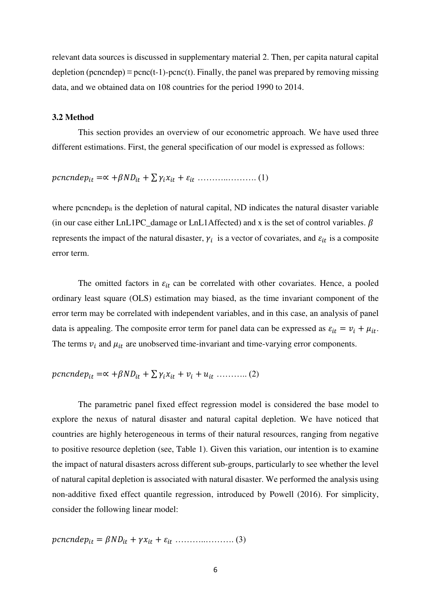relevant data sources is discussed in supplementary material 2. Then, per capita natural capital depletion (pcncndep)  $\equiv$  pcnc(t-1)-pcnc(t). Finally, the panel was prepared by removing missing data, and we obtained data on 108 countries for the period 1990 to 2014.

## **3.2 Method**

This section provides an overview of our econometric approach. We have used three different estimations. First, the general specification of our model is expressed as follows:

=∝ + + ∑ + ………..………. (1)

where pcncndep<sub>it</sub> is the depletion of natural capital, ND indicates the natural disaster variable (in our case either LnL1PC\_damage or LnL1Affected) and x is the set of control variables.  $\beta$ represents the impact of the natural disaster,  $\gamma_i$  is a vector of covariates, and  $\varepsilon_{it}$  is a composite error term.

The omitted factors in  $\varepsilon_{it}$  can be correlated with other covariates. Hence, a pooled ordinary least square (OLS) estimation may biased, as the time invariant component of the error term may be correlated with independent variables, and in this case, an analysis of panel data is appealing. The composite error term for panel data can be expressed as  $\varepsilon_{it} = v_i + \mu_{it}$ . The terms  $v_i$  and  $\mu_{it}$  are unobserved time-invariant and time-varying error components.

=∝ + + ∑ + + ……….. (2)

The parametric panel fixed effect regression model is considered the base model to explore the nexus of natural disaster and natural capital depletion. We have noticed that countries are highly heterogeneous in terms of their natural resources, ranging from negative to positive resource depletion (see, Table 1). Given this variation, our intention is to examine the impact of natural disasters across different sub-groups, particularly to see whether the level of natural capital depletion is associated with natural disaster. We performed the analysis using non-additive fixed effect quantile regression, introduced by Powell (2016). For simplicity, consider the following linear model:

 $\label{eq:concl} pcnende p_{it} = \beta ND_{it} + \gamma x_{it} + \varepsilon_{it} \cdot \ldots \cdot \ldots \cdot \ldots \cdot \ldots \cdot (3)$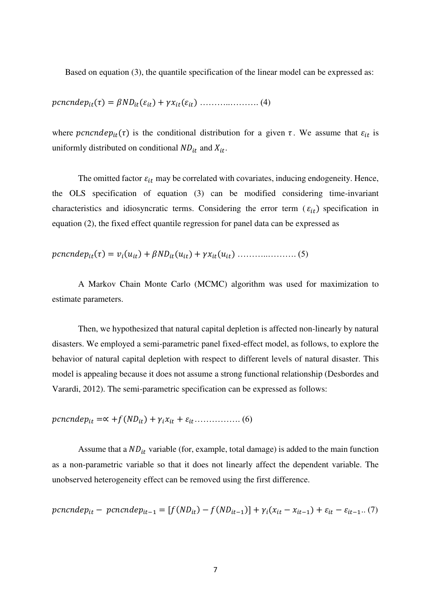Based on equation (3), the quantile specification of the linear model can be expressed as:

() = () + () ………..………. (4)

where pcncndep<sub>it</sub>( $\tau$ ) is the conditional distribution for a given  $\tau$ . We assume that  $\varepsilon_{it}$  is uniformly distributed on conditional  $ND_{it}$  and  $X_{it}$ .

The omitted factor  $\varepsilon_{it}$  may be correlated with covariates, inducing endogeneity. Hence, the OLS specification of equation (3) can be modified considering time-invariant characteristics and idiosyncratic terms. Considering the error term  $(\varepsilon_{it})$  specification in equation (2), the fixed effect quantile regression for panel data can be expressed as

() = () + () + () ………..………. (5)

A Markov Chain Monte Carlo (MCMC) algorithm was used for maximization to estimate parameters.

Then, we hypothesized that natural capital depletion is affected non-linearly by natural disasters. We employed a semi-parametric panel fixed-effect model, as follows, to explore the behavior of natural capital depletion with respect to different levels of natural disaster. This model is appealing because it does not assume a strong functional relationship (Desbordes and Varardi, 2012). The semi-parametric specification can be expressed as follows:

=∝ +() + + ……………. (6)

Assume that a  $ND_{it}$  variable (for, example, total damage) is added to the main function as a non-parametric variable so that it does not linearly affect the dependent variable. The unobserved heterogeneity effect can be removed using the first difference.

 $p$ cncnde $p_{it}$  –  $p$ cncnde $p_{it-1}$  =  $[f(ND_{it}) - f(ND_{it-1})] + \gamma_i(x_{it} - x_{it-1}) + \varepsilon_{it} - \varepsilon_{it-1}$ . (7)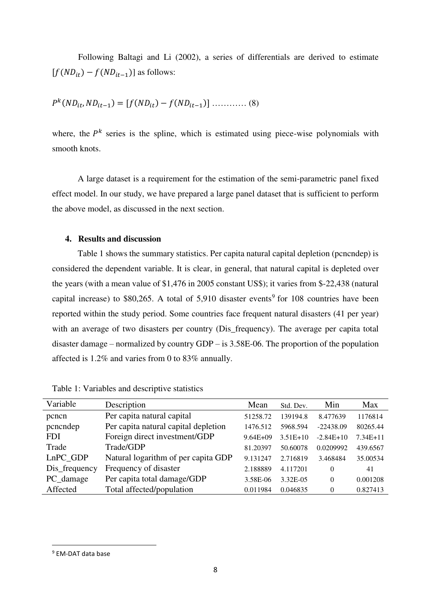Following Baltagi and Li (2002), a series of differentials are derived to estimate  $[f(ND_{it}) - f(ND_{it-1})]$  as follows:

 (, −1) = [() − (−1)] ………… (8)

where, the  $P^k$  series is the spline, which is estimated using piece-wise polynomials with smooth knots.

A large dataset is a requirement for the estimation of the semi-parametric panel fixed effect model. In our study, we have prepared a large panel dataset that is sufficient to perform the above model, as discussed in the next section.

# **4. Results and discussion**

Table 1 shows the summary statistics. Per capita natural capital depletion (pcncndep) is considered the dependent variable. It is clear, in general, that natural capital is depleted over the years (with a mean value of \$1,476 in 2005 constant US\$); it varies from \$-22,438 (natural capital increase) to  $$80,265$ . A total of  $5,910$  disaster events<sup>9</sup> for 108 countries have been reported within the study period. Some countries face frequent natural disasters (41 per year) with an average of two disasters per country (Dis\_frequency). The average per capita total disaster damage – normalized by country GDP – is 3.58E-06. The proportion of the population affected is 1.2% and varies from 0 to 83% annually.

| Variable      | Description                          | Mean         | Std. Dev.  | Min         | Max        |
|---------------|--------------------------------------|--------------|------------|-------------|------------|
| pcncn         | Per capita natural capital           | 51258.72     | 139194.8   | 8.477639    | 1176814    |
| pcncndep      | Per capita natural capital depletion | 1476.512     | 5968.594   | $-22438.09$ | 80265.44   |
| <b>FDI</b>    | Foreign direct investment/GDP        | $9.64E + 09$ | $3.51E+10$ | $-2.84E+10$ | $7.34E+11$ |
| Trade         | Trade/GDP                            | 81.20397     | 50.60078   | 0.0209992   | 439.6567   |
| LnPC GDP      | Natural logarithm of per capita GDP  | 9.131247     | 2.716819   | 3.468484    | 35.00534   |
| Dis_frequency | Frequency of disaster                | 2.188889     | 4.117201   | 0           | 41         |
| PC_damage     | Per capita total damage/GDP          | 3.58E-06     | 3.32E-05   | $\theta$    | 0.001208   |
| Affected      | Total affected/population            | 0.011984     | 0.046835   | $\Omega$    | 0.827413   |

Table 1: Variables and descriptive statistics

<u>.</u>

<sup>9</sup> EM-DAT data base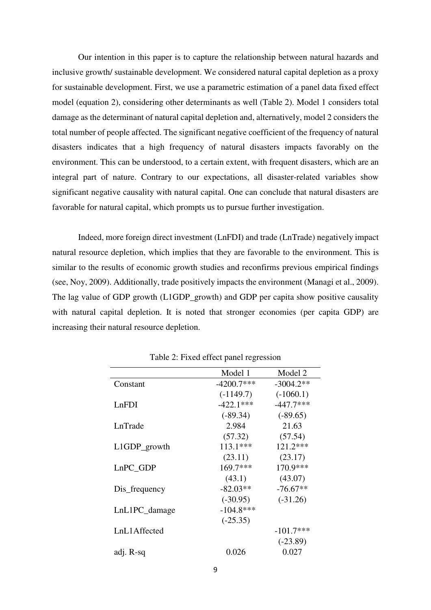Our intention in this paper is to capture the relationship between natural hazards and inclusive growth/ sustainable development. We considered natural capital depletion as a proxy for sustainable development. First, we use a parametric estimation of a panel data fixed effect model (equation 2), considering other determinants as well (Table 2). Model 1 considers total damage as the determinant of natural capital depletion and, alternatively, model 2 considers the total number of people affected. The significant negative coefficient of the frequency of natural disasters indicates that a high frequency of natural disasters impacts favorably on the environment. This can be understood, to a certain extent, with frequent disasters, which are an integral part of nature. Contrary to our expectations, all disaster-related variables show significant negative causality with natural capital. One can conclude that natural disasters are favorable for natural capital, which prompts us to pursue further investigation.

Indeed, more foreign direct investment (LnFDI) and trade (LnTrade) negatively impact natural resource depletion, which implies that they are favorable to the environment. This is similar to the results of economic growth studies and reconfirms previous empirical findings (see, Noy, 2009). Additionally, trade positively impacts the environment (Managi et al., 2009). The lag value of GDP growth (L1GDP\_growth) and GDP per capita show positive causality with natural capital depletion. It is noted that stronger economies (per capita GDP) are increasing their natural resource depletion.

|               | Model 1      | Model 2     |
|---------------|--------------|-------------|
| Constant      | $-4200.7***$ | $-3004.2**$ |
|               | $(-1149.7)$  | $(-1060.1)$ |
| LnFDI         | $-422.1***$  | $-447.7***$ |
|               | $(-89.34)$   | $(-89.65)$  |
| LnTrade       | 2.984        | 21.63       |
|               | (57.32)      | (57.54)     |
| L1GDP_growth  | $113.1***$   | $121.2***$  |
|               | (23.11)      | (23.17)     |
| LnPC GDP      | $169.7***$   | 170.9***    |
|               | (43.1)       | (43.07)     |
| Dis_frequency | $-82.03**$   | $-76.67**$  |
|               | $(-30.95)$   | $(-31.26)$  |
| LnL1PC_damage | $-104.8***$  |             |
|               | $(-25.35)$   |             |
| LnL1Affected  |              | $-101.7***$ |
|               |              | $(-23.89)$  |
| adj. R-sq     | 0.026        | 0.027       |

Table 2: Fixed effect panel regression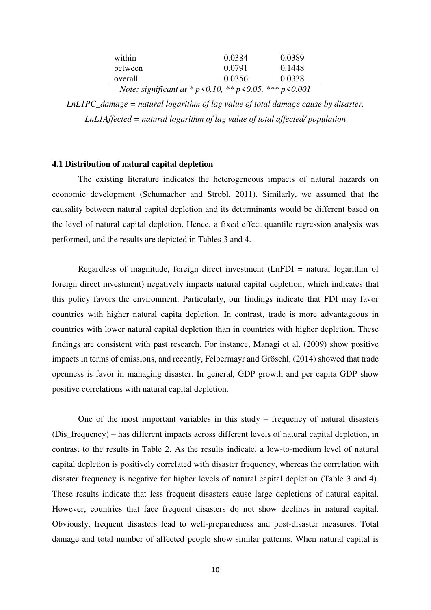| within  | 0.0384 | 0.0389 |
|---------|--------|--------|
| between | 0.0791 | 0.1448 |
| overall | 0.0356 | 0.0338 |
|         |        |        |

*Note: significant at \* p<0.10, \*\* p<0.05, \*\*\* p<0.001* 

*LnL1PC\_damage = natural logarithm of lag value of total damage cause by disaster, LnL1Affected = natural logarithm of lag value of total affected/ population* 

### **4.1 Distribution of natural capital depletion**

The existing literature indicates the heterogeneous impacts of natural hazards on economic development (Schumacher and Strobl, 2011). Similarly, we assumed that the causality between natural capital depletion and its determinants would be different based on the level of natural capital depletion. Hence, a fixed effect quantile regression analysis was performed, and the results are depicted in Tables 3 and 4.

Regardless of magnitude, foreign direct investment (LnFDI = natural logarithm of foreign direct investment) negatively impacts natural capital depletion, which indicates that this policy favors the environment. Particularly, our findings indicate that FDI may favor countries with higher natural capita depletion. In contrast, trade is more advantageous in countries with lower natural capital depletion than in countries with higher depletion. These findings are consistent with past research. For instance, Managi et al. (2009) show positive impacts in terms of emissions, and recently, Felbermayr and Gröschl, (2014) showed that trade openness is favor in managing disaster. In general, GDP growth and per capita GDP show positive correlations with natural capital depletion.

One of the most important variables in this study – frequency of natural disasters (Dis\_frequency) – has different impacts across different levels of natural capital depletion, in contrast to the results in Table 2. As the results indicate, a low-to-medium level of natural capital depletion is positively correlated with disaster frequency, whereas the correlation with disaster frequency is negative for higher levels of natural capital depletion (Table 3 and 4). These results indicate that less frequent disasters cause large depletions of natural capital. However, countries that face frequent disasters do not show declines in natural capital. Obviously, frequent disasters lead to well-preparedness and post-disaster measures. Total damage and total number of affected people show similar patterns. When natural capital is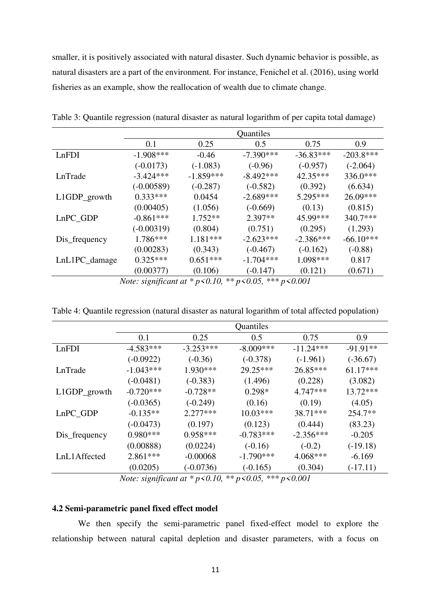smaller, it is positively associated with natural disaster. Such dynamic behavior is possible, as natural disasters are a part of the environment. For instance, Fenichel et al. (2016), using world fisheries as an example, show the reallocation of wealth due to climate change.

|               |              |             | Quantiles   |             |             |
|---------------|--------------|-------------|-------------|-------------|-------------|
|               | 0.1          | 0.25        | 0.5         | 0.75        | 0.9         |
| LnFDI         | $-1.908$ *** | $-0.46$     | $-7.390***$ | $-36.83***$ | $-203.8***$ |
|               | $(-0.0173)$  | $(-1.083)$  | $(-0.96)$   | $(-0.957)$  | $(-2.064)$  |
| LnTrade       | $-3.424***$  | $-1.859***$ | $-8.492***$ | $42.35***$  | $336.0***$  |
|               | $(-0.00589)$ | $(-0.287)$  | $(-0.582)$  | (0.392)     | (6.634)     |
| L1GDP_growth  | $0.333***$   | 0.0454      | $-2.689***$ | 5.295***    | $26.09***$  |
|               | (0.00405)    | (1.056)     | $(-0.669)$  | (0.13)      | (0.815)     |
| $LnPC_GDP$    | $-0.861***$  | $1.752**$   | $2.397**$   | 45.99***    | 340.7***    |
|               | $(-0.00319)$ | (0.804)     | (0.751)     | (0.295)     | (1.293)     |
| Dis_frequency | $1.786***$   | 1.181***    | $-2.623***$ | $-2.386***$ | $-66.10***$ |
|               | (0.00283)    | (0.343)     | $(-0.467)$  | $(-0.162)$  | $(-0.88)$   |
| LnL1PC_damage | $0.325***$   | $0.651***$  | $-1.704***$ | $1.098***$  | 0.817       |
|               | (0.00377)    | (0.106)     | $(-0.147)$  | (0.121)     | (0.671)     |

Table 3: Quantile regression (natural disaster as natural logarithm of per capita total damage)

*Note: significant at \* p<0.10, \*\* p<0.05, \*\*\* p<0.001*

Table 4: Quantile regression (natural disaster as natural logarithm of total affected population)

|               | Quantiles   |             |             |             |            |
|---------------|-------------|-------------|-------------|-------------|------------|
|               | 0.1         | 0.25        | 0.5         | 0.75        | 0.9        |
| LnFDI         | $-4.583***$ | $-3.253***$ | $-8.009***$ | $-11.24***$ | $-91.91**$ |
|               | $(-0.0922)$ | $(-0.36)$   | $(-0.378)$  | $(-1.961)$  | $(-36.67)$ |
| LnTrade       | $-1.043***$ | 1.930***    | 29.25***    | 26.85***    | $61.17***$ |
|               | $(-0.0481)$ | $(-0.383)$  | (1.496)     | (0.228)     | (3.082)    |
| L1GDP_growth  | $-0.720***$ | $-0.728**$  | $0.298*$    | 4.747***    | 13.72***   |
|               | $(-0.0365)$ | $(-0.249)$  | (0.16)      | (0.19)      | (4.05)     |
| $LnPC_GDP$    | $-0.135**$  | $2.277***$  | $10.03***$  | 38.71***    | $254.7**$  |
|               | $(-0.0473)$ | (0.197)     | (0.123)     | (0.444)     | (83.23)    |
| Dis_frequency | $0.980***$  | $0.958***$  | $-0.783***$ | $-2.356***$ | $-0.205$   |
|               | (0.00888)   | (0.0224)    | $(-0.16)$   | $(-0.2)$    | $(-19.18)$ |
| LnL1Affected  | $2.861***$  | $-0.00068$  | $-1.790***$ | 4.068***    | $-6.169$   |
|               | (0.0205)    | $(-0.0736)$ | $(-0.165)$  | (0.304)     | $(-17.11)$ |

*Note: significant at \* p<0.10, \*\* p<0.05, \*\*\* p<0.001*

# **4.2 Semi-parametric panel fixed effect model**

We then specify the semi-parametric panel fixed-effect model to explore the relationship between natural capital depletion and disaster parameters, with a focus on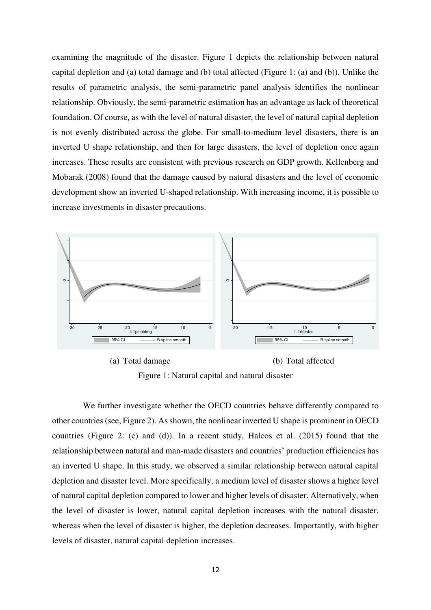examining the magnitude of the disaster. Figure 1 depicts the relationship between natural capital depletion and (a) total damage and (b) total affected (Figure 1: (a) and (b)). Unlike the results of parametric analysis, the semi-parametric panel analysis identifies the nonlinear relationship. Obviously, the semi-parametric estimation has an advantage as lack of theoretical foundation. Of course, as with the level of natural disaster, the level of natural capital depletion is not evenly distributed across the globe. For small-to-medium level disasters, there is an inverted U shape relationship, and then for large disasters, the level of depletion once again increases. These results are consistent with previous research on GDP growth. Kellenberg and Mobarak (2008) found that the damage caused by natural disasters and the level of economic development show an inverted U-shaped relationship. With increasing income, it is possible to increase investments in disaster precautions.



(a) Total damage (b) Total affected Figure 1: Natural capital and natural disaster

We further investigate whether the OECD countries behave differently compared to other countries (see, Figure 2). As shown, the nonlinear inverted U shape is prominent in OECD countries (Figure 2: (c) and (d)). In a recent study, Halcos et al. (2015) found that the relationship between natural and man-made disasters and countries' production efficiencies has an inverted U shape. In this study, we observed a similar relationship between natural capital depletion and disaster level. More specifically, a medium level of disaster shows a higher level of natural capital depletion compared to lower and higher levels of disaster. Alternatively, when the level of disaster is lower, natural capital depletion increases with the natural disaster, whereas when the level of disaster is higher, the depletion decreases. Importantly, with higher levels of disaster, natural capital depletion increases.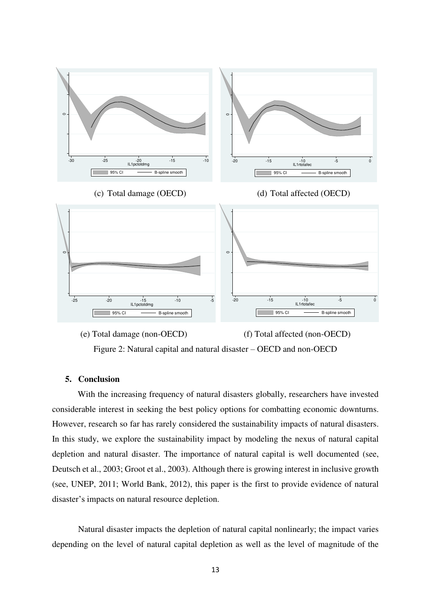

(e) Total damage (non-OECD) (f) Total affected (non-OECD) Figure 2: Natural capital and natural disaster – OECD and non-OECD

## **5. Conclusion**

With the increasing frequency of natural disasters globally, researchers have invested considerable interest in seeking the best policy options for combatting economic downturns. However, research so far has rarely considered the sustainability impacts of natural disasters. In this study, we explore the sustainability impact by modeling the nexus of natural capital depletion and natural disaster. The importance of natural capital is well documented (see, Deutsch et al., 2003; Groot et al., 2003). Although there is growing interest in inclusive growth (see, UNEP, 2011; World Bank, 2012), this paper is the first to provide evidence of natural disaster's impacts on natural resource depletion.

 Natural disaster impacts the depletion of natural capital nonlinearly; the impact varies depending on the level of natural capital depletion as well as the level of magnitude of the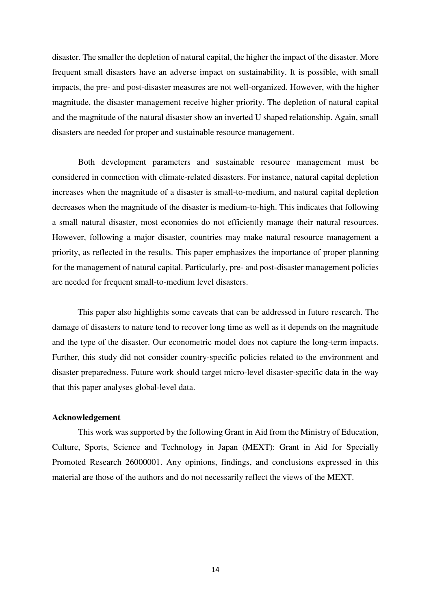disaster. The smaller the depletion of natural capital, the higher the impact of the disaster. More frequent small disasters have an adverse impact on sustainability. It is possible, with small impacts, the pre- and post-disaster measures are not well-organized. However, with the higher magnitude, the disaster management receive higher priority. The depletion of natural capital and the magnitude of the natural disaster show an inverted U shaped relationship. Again, small disasters are needed for proper and sustainable resource management.

 Both development parameters and sustainable resource management must be considered in connection with climate-related disasters. For instance, natural capital depletion increases when the magnitude of a disaster is small-to-medium, and natural capital depletion decreases when the magnitude of the disaster is medium-to-high. This indicates that following a small natural disaster, most economies do not efficiently manage their natural resources. However, following a major disaster, countries may make natural resource management a priority, as reflected in the results. This paper emphasizes the importance of proper planning for the management of natural capital. Particularly, pre- and post-disaster management policies are needed for frequent small-to-medium level disasters.

This paper also highlights some caveats that can be addressed in future research. The damage of disasters to nature tend to recover long time as well as it depends on the magnitude and the type of the disaster. Our econometric model does not capture the long-term impacts. Further, this study did not consider country-specific policies related to the environment and disaster preparedness. Future work should target micro-level disaster-specific data in the way that this paper analyses global-level data.

#### **Acknowledgement**

This work was supported by the following Grant in Aid from the Ministry of Education, Culture, Sports, Science and Technology in Japan (MEXT): Grant in Aid for Specially Promoted Research 26000001. Any opinions, findings, and conclusions expressed in this material are those of the authors and do not necessarily reflect the views of the MEXT.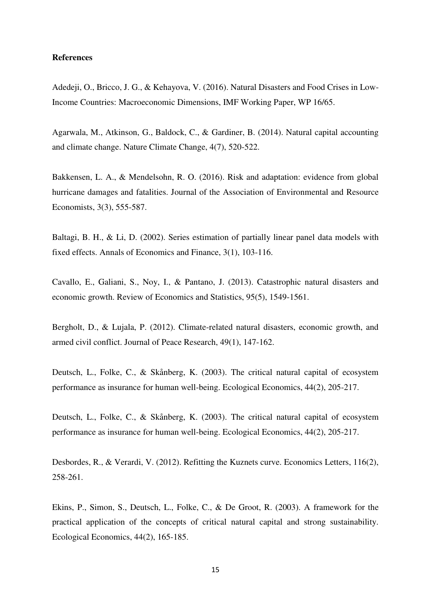### **References**

Adedeji, O., Bricco, J. G., & Kehayova, V. (2016). Natural Disasters and Food Crises in Low-Income Countries: Macroeconomic Dimensions, IMF Working Paper, WP 16/65.

Agarwala, M., Atkinson, G., Baldock, C., & Gardiner, B. (2014). Natural capital accounting and climate change. Nature Climate Change, 4(7), 520-522.

Bakkensen, L. A., & Mendelsohn, R. O. (2016). Risk and adaptation: evidence from global hurricane damages and fatalities. Journal of the Association of Environmental and Resource Economists, 3(3), 555-587.

Baltagi, B. H., & Li, D. (2002). Series estimation of partially linear panel data models with fixed effects. Annals of Economics and Finance, 3(1), 103-116.

Cavallo, E., Galiani, S., Noy, I., & Pantano, J. (2013). Catastrophic natural disasters and economic growth. Review of Economics and Statistics, 95(5), 1549-1561.

Bergholt, D., & Lujala, P. (2012). Climate-related natural disasters, economic growth, and armed civil conflict. Journal of Peace Research, 49(1), 147-162.

Deutsch, L., Folke, C., & Skånberg, K. (2003). The critical natural capital of ecosystem performance as insurance for human well-being. Ecological Economics, 44(2), 205-217.

Deutsch, L., Folke, C., & Skånberg, K. (2003). The critical natural capital of ecosystem performance as insurance for human well-being. Ecological Economics, 44(2), 205-217.

Desbordes, R., & Verardi, V. (2012). Refitting the Kuznets curve. Economics Letters, 116(2), 258-261.

Ekins, P., Simon, S., Deutsch, L., Folke, C., & De Groot, R. (2003). A framework for the practical application of the concepts of critical natural capital and strong sustainability. Ecological Economics, 44(2), 165-185.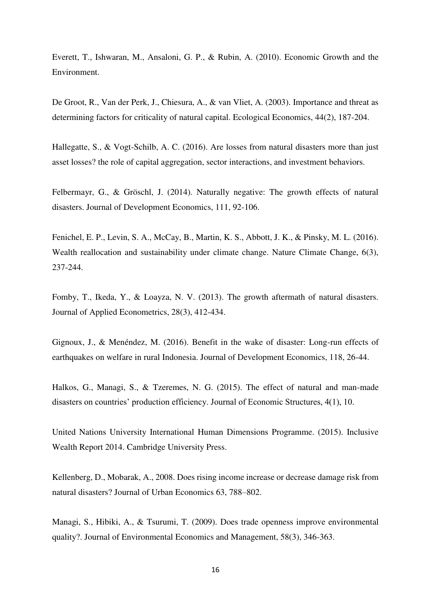Everett, T., Ishwaran, M., Ansaloni, G. P., & Rubin, A. (2010). Economic Growth and the Environment.

De Groot, R., Van der Perk, J., Chiesura, A., & van Vliet, A. (2003). Importance and threat as determining factors for criticality of natural capital. Ecological Economics, 44(2), 187-204.

Hallegatte, S., & Vogt-Schilb, A. C. (2016). Are losses from natural disasters more than just asset losses? the role of capital aggregation, sector interactions, and investment behaviors.

Felbermayr, G., & Gröschl, J. (2014). Naturally negative: The growth effects of natural disasters. Journal of Development Economics, 111, 92-106.

Fenichel, E. P., Levin, S. A., McCay, B., Martin, K. S., Abbott, J. K., & Pinsky, M. L. (2016). Wealth reallocation and sustainability under climate change. Nature Climate Change, 6(3), 237-244.

Fomby, T., Ikeda, Y., & Loayza, N. V. (2013). The growth aftermath of natural disasters. Journal of Applied Econometrics, 28(3), 412-434.

Gignoux, J., & Menéndez, M. (2016). Benefit in the wake of disaster: Long-run effects of earthquakes on welfare in rural Indonesia. Journal of Development Economics, 118, 26-44.

Halkos, G., Managi, S., & Tzeremes, N. G. (2015). The effect of natural and man-made disasters on countries' production efficiency. Journal of Economic Structures, 4(1), 10.

United Nations University International Human Dimensions Programme. (2015). Inclusive Wealth Report 2014. Cambridge University Press.

Kellenberg, D., Mobarak, A., 2008. Does rising income increase or decrease damage risk from natural disasters? Journal of Urban Economics 63, 788–802.

Managi, S., Hibiki, A., & Tsurumi, T. (2009). Does trade openness improve environmental quality?. Journal of Environmental Economics and Management, 58(3), 346-363.